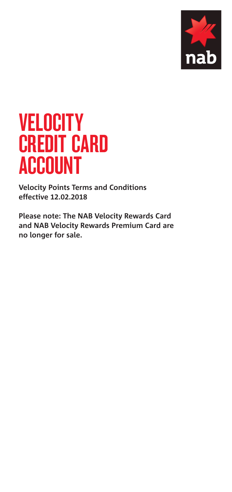

# **VELOCITY** CREDIT CARD ACCOUNT

**Velocity Points Terms and Conditions effective 12.02.2018**

**Please note: The NAB Velocity Rewards Card and NAB Velocity Rewards Premium Card are no longer for sale.**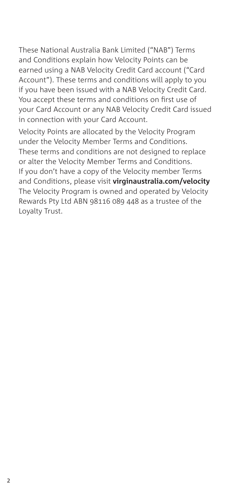These National Australia Bank Limited ("NAB") Terms and Conditions explain how Velocity Points can be earned using a NAB Velocity Credit Card account ("Card Account"). These terms and conditions will apply to you if you have been issued with a NAB Velocity Credit Card. You accept these terms and conditions on first use of your Card Account or any NAB Velocity Credit Card issued in connection with your Card Account.

Velocity Points are allocated by the Velocity Program under the Velocity Member Terms and Conditions. These terms and conditions are not designed to replace or alter the Velocity Member Terms and Conditions. If you don't have a copy of the Velocity member Terms and Conditions, please visit **virginaustralia.com/velocity** The Velocity Program is owned and operated by Velocity Rewards Pty Ltd ABN 98116 089 448 as a trustee of the Loyalty Trust.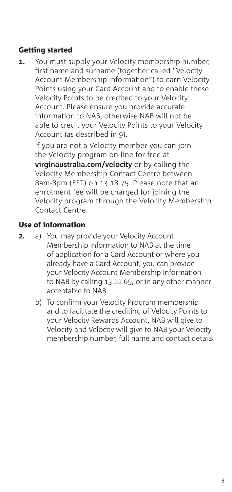# Getting started

**1.** You must supply your Velocity membership number, first name and surname (together called "Velocity Account Membership Information") to earn Velocity Points using your Card Account and to enable these Velocity Points to be credited to your Velocity Account. Please ensure you provide accurate information to NAB, otherwise NAB will not be able to credit your Velocity Points to your Velocity Account (as described in 9).

 If you are not a Velocity member you can join the Velocity program on-line for free at **virginaustralia.com/velocity** or by calling the Velocity Membership Contact Centre between 8am-8pm (EST) on 13 18 75. Please note that an enrolment fee will be charged for joining the Velocity program through the Velocity Membership Contact Centre.

#### Use of information

- **2.** a) You may provide your Velocity Account Membership Information to NAB at the time of application for a Card Account or where you already have a Card Account, you can provide your Velocity Account Membership Information to NAB by calling 13 22 65, or in any other manner acceptable to NAB.
	- b) To confirm your Velocity Program membership and to facilitate the crediting of Velocity Points to your Velocity Rewards Account, NAB will give to Velocity and Velocity will give to NAB your Velocity membership number, full name and contact details.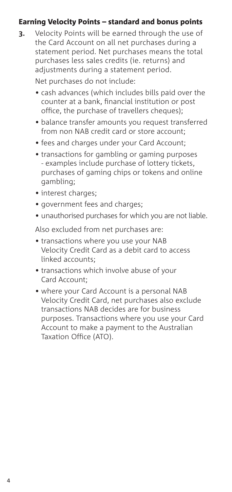# Earning Velocity Points – standard and bonus points

**3.** Velocity Points will be earned through the use of the Card Account on all net purchases during a statement period. Net purchases means the total purchases less sales credits (ie. returns) and adjustments during a statement period.

Net purchases do not include:

- cash advances (which includes bills paid over the counter at a bank, financial institution or post office, the purchase of travellers cheques);
- balance transfer amounts you request transferred from non NAB credit card or store account;
- fees and charges under your Card Account;
- transactions for gambling or gaming purposes - examples include purchase of lottery tickets, purchases of gaming chips or tokens and online gambling;
- interest charges;
- government fees and charges;
- unauthorised purchases for which you are not liable.

Also excluded from net purchases are:

- transactions where you use your NAB Velocity Credit Card as a debit card to access linked accounts;
- transactions which involve abuse of your Card Account;
- where your Card Account is a personal NAB Velocity Credit Card, net purchases also exclude transactions NAB decides are for business purposes. Transactions where you use your Card Account to make a payment to the Australian Taxation Office (ATO).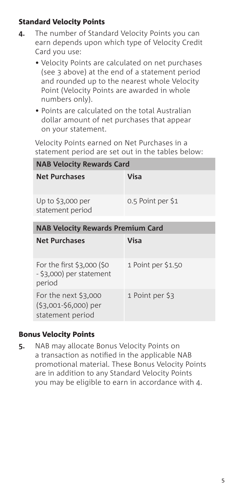# Standard Velocity Points

- **4.** The number of Standard Velocity Points you can earn depends upon which type of Velocity Credit Card you use:
	- Velocity Points are calculated on net purchases (see 3 above) at the end of a statement period and rounded up to the nearest whole Velocity Point (Velocity Points are awarded in whole numbers only).
	- Points are calculated on the total Australian dollar amount of net purchases that appear on your statement.

 Velocity Points earned on Net Purchases in a statement period are set out in the tables below:

| <b>NAB Velocity Rewards Card</b>         |  |
|------------------------------------------|--|
| Visa                                     |  |
| 0.5 Point per \$1                        |  |
| <b>NAB Velocity Rewards Premium Card</b> |  |
| Visa                                     |  |
| 1 Point per \$1.50                       |  |
| 1 Point per \$3                          |  |
|                                          |  |

#### Bonus Velocity Points

**5.** NAB may allocate Bonus Velocity Points on a transaction as notified in the applicable NAB promotional material. These Bonus Velocity Points are in addition to any Standard Velocity Points you may be eligible to earn in accordance with 4.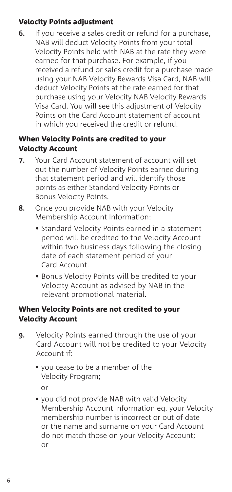# Velocity Points adjustment

**6.** If you receive a sales credit or refund for a purchase, NAB will deduct Velocity Points from your total Velocity Points held with NAB at the rate they were earned for that purchase. For example, if you received a refund or sales credit for a purchase made using your NAB Velocity Rewards Visa Card, NAB will deduct Velocity Points at the rate earned for that purchase using your Velocity NAB Velocity Rewards Visa Card. You will see this adjustment of Velocity Points on the Card Account statement of account in which you received the credit or refund.

## When Velocity Points are credited to your Velocity Account

- **7.** Your Card Account statement of account will set out the number of Velocity Points earned during that statement period and will identify those points as either Standard Velocity Points or Bonus Velocity Points.
- **8.** Once you provide NAB with your Velocity Membership Account Information:
	- Standard Velocity Points earned in a statement period will be credited to the Velocity Account within two business days following the closing date of each statement period of your Card Account.
	- Bonus Velocity Points will be credited to your Velocity Account as advised by NAB in the relevant promotional material.

# When Velocity Points are not credited to your Velocity Account

- **9.** Velocity Points earned through the use of your Card Account will not be credited to your Velocity Account if:
	- you cease to be a member of the Velocity Program;

or

• you did not provide NAB with valid Velocity Membership Account Information eg. your Velocity membership number is incorrect or out of date or the name and surname on your Card Account do not match those on your Velocity Account; or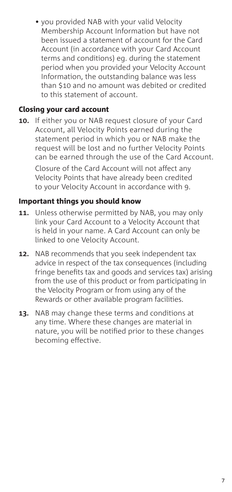• you provided NAB with your valid Velocity Membership Account Information but have not been issued a statement of account for the Card Account (in accordance with your Card Account terms and conditions) eg. during the statement period when you provided your Velocity Account Information, the outstanding balance was less than \$10 and no amount was debited or credited to this statement of account.

## Closing your card account

**10.** If either you or NAB request closure of your Card Account, all Velocity Points earned during the statement period in which you or NAB make the request will be lost and no further Velocity Points can be earned through the use of the Card Account. Closure of the Card Account will not affect any Velocity Points that have already been credited to your Velocity Account in accordance with 9.

#### Important things you should know

- **11.** Unless otherwise permitted by NAB, you may only link your Card Account to a Velocity Account that is held in your name. A Card Account can only be linked to one Velocity Account.
- **12.** NAB recommends that you seek independent tax advice in respect of the tax consequences (including fringe benefits tax and goods and services tax) arising from the use of this product or from participating in the Velocity Program or from using any of the Rewards or other available program facilities.
- **13.** NAB may change these terms and conditions at any time. Where these changes are material in nature, you will be notified prior to these changes becoming effective.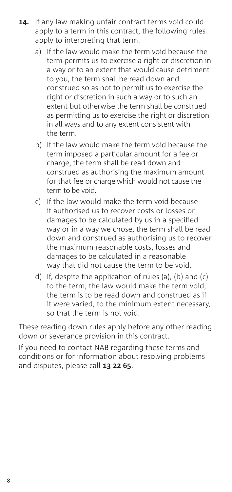- 14. If any law making unfair contract terms void could apply to a term in this contract, the following rules apply to interpreting that term.
	- a) If the law would make the term void because the term permits us to exercise a right or discretion in a way or to an extent that would cause detriment to you, the term shall be read down and construed so as not to permit us to exercise the right or discretion in such a way or to such an extent but otherwise the term shall be construed as permitting us to exercise the right or discretion in all ways and to any extent consistent with the term.
	- b) If the law would make the term void because the term imposed a particular amount for a fee or charge, the term shall be read down and construed as authorising the maximum amount for that fee or charge which would not cause the term to be void.
	- c) If the law would make the term void because it authorised us to recover costs or losses or damages to be calculated by us in a specified way or in a way we chose, the term shall be read down and construed as authorising us to recover the maximum reasonable costs, losses and damages to be calculated in a reasonable way that did not cause the term to be void.
	- d) If, despite the application of rules (a), (b) and (c) to the term, the law would make the term void, the term is to be read down and construed as if it were varied, to the minimum extent necessary, so that the term is not void.

These reading down rules apply before any other reading down or severance provision in this contract.

If you need to contact NAB regarding these terms and conditions or for information about resolving problems and disputes, please call **13 22 65**.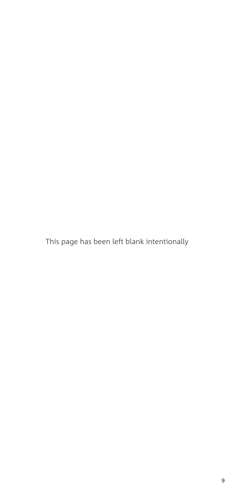This page has been left blank intentionally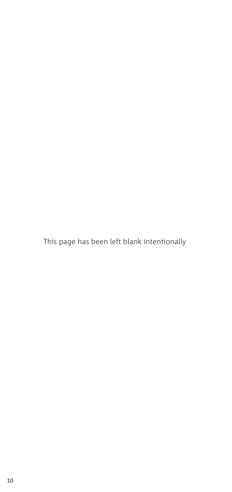This page has been left blank intentionally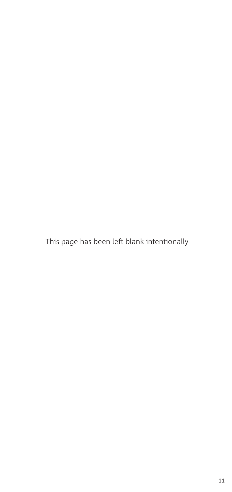This page has been left blank intentionally